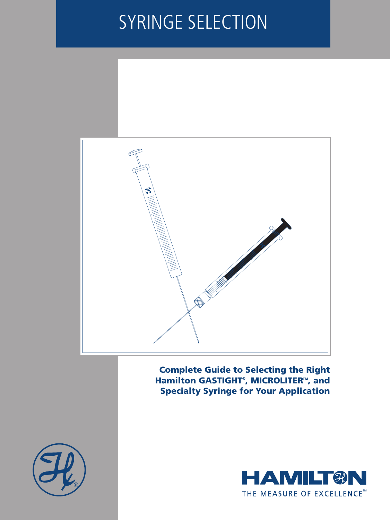# SYRINGE SELECTION



Complete Guide to Selecting the Right Hamilton GASTIGHT<sup>®</sup>, MICROLITER™, and Specialty Syringe for Your Application



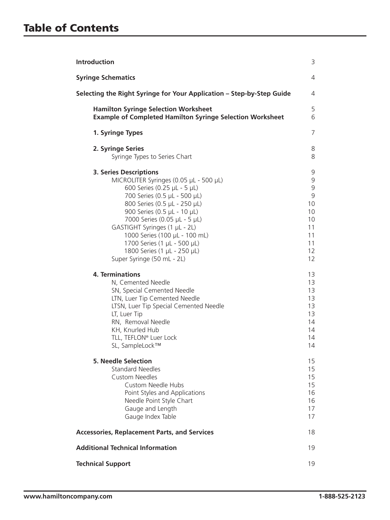| <b>Introduction</b>                                                                                                                                                                                                                                                                                                                                                                                 | 3                                                                |  |
|-----------------------------------------------------------------------------------------------------------------------------------------------------------------------------------------------------------------------------------------------------------------------------------------------------------------------------------------------------------------------------------------------------|------------------------------------------------------------------|--|
| <b>Syringe Schematics</b>                                                                                                                                                                                                                                                                                                                                                                           | 4                                                                |  |
| Selecting the Right Syringe for Your Application - Step-by-Step Guide                                                                                                                                                                                                                                                                                                                               | 4                                                                |  |
| <b>Hamilton Syringe Selection Worksheet</b><br><b>Example of Completed Hamilton Syringe Selection Worksheet</b>                                                                                                                                                                                                                                                                                     | 5<br>6                                                           |  |
| 1. Syringe Types                                                                                                                                                                                                                                                                                                                                                                                    | 7                                                                |  |
| 2. Syringe Series<br>Syringe Types to Series Chart                                                                                                                                                                                                                                                                                                                                                  | 8<br>8                                                           |  |
| <b>3. Series Descriptions</b><br>MICROLITER Syringes (0.05 µL - 500 µL)<br>600 Series (0.25 µL - 5 µL)<br>700 Series (0.5 µL - 500 µL)<br>800 Series (0.5 µL - 250 µL)<br>900 Series (0.5 µL - 10 µL)<br>7000 Series (0.05 µL - 5 µL)<br>GASTIGHT Syringes (1 µL - 2L)<br>1000 Series (100 µL - 100 mL)<br>1700 Series (1 µL - 500 µL)<br>1800 Series (1 µL - 250 µL)<br>Super Syringe (50 mL - 2L) | 9<br>9<br>9<br>9<br>10<br>10<br>10<br>11<br>11<br>11<br>12<br>12 |  |
| <b>4. Terminations</b><br>N, Cemented Needle<br>SN, Special Cemented Needle<br>LTN, Luer Tip Cemented Needle<br>LTSN, Luer Tip Special Cemented Needle<br>LT, Luer Tip<br>RN, Removal Needle<br>KH, Knurled Hub<br>TLL, TEFLON® Luer Lock<br>SL, SampleLock™                                                                                                                                        | 13<br>13<br>13<br>13<br>13<br>13<br>14<br>14<br>14<br>14         |  |
| <b>5. Needle Selection</b><br><b>Standard Needles</b><br><b>Custom Needles</b><br><b>Custom Needle Hubs</b><br>Point Styles and Applications<br>Needle Point Style Chart<br>Gauge and Length<br>Gauge Index Table                                                                                                                                                                                   | 15<br>15<br>15<br>15<br>16<br>16<br>17<br>17                     |  |
| <b>Accessories, Replacement Parts, and Services</b>                                                                                                                                                                                                                                                                                                                                                 |                                                                  |  |
| <b>Additional Technical Information</b>                                                                                                                                                                                                                                                                                                                                                             | 19                                                               |  |
| <b>Technical Support</b>                                                                                                                                                                                                                                                                                                                                                                            | 19                                                               |  |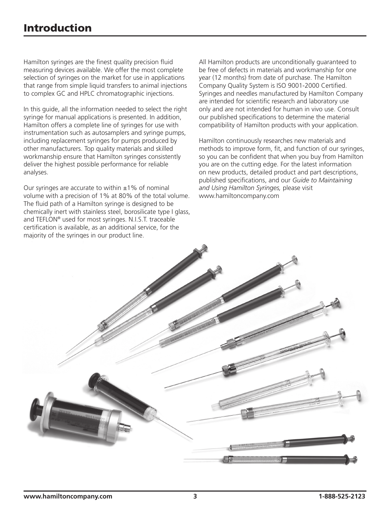Hamilton syringes are the finest quality precision fluid measuring devices available. We offer the most complete selection of syringes on the market for use in applications that range from simple liquid transfers to animal injections to complex GC and HPLC chromatographic injections.

In this guide, all the information needed to select the right syringe for manual applications is presented. In addition, Hamilton offers a complete line of syringes for use with instrumentation such as autosamplers and syringe pumps, including replacement syringes for pumps produced by other manufacturers. Top quality materials and skilled workmanship ensure that Hamilton syringes consistently deliver the highest possible performance for reliable analyses.

Our syringes are accurate to within  $\pm 1\%$  of nominal volume with a precision of 1% at 80% of the total volume. The fluid path of a Hamilton syringe is designed to be chemically inert with stainless steel, borosilicate type I glass, and TEFLON® used for most syringes. N.I.S.T. traceable certification is available, as an additional service, for the majority of the syringes in our product line.

All Hamilton products are unconditionally guaranteed to be free of defects in materials and workmanship for one year (12 months) from date of purchase. The Hamilton Company Quality System is ISO 9001-2000 Certified. Syringes and needles manufactured by Hamilton Company are intended for scientific research and laboratory use only and are not intended for human in vivo use. Consult our published specifications to determine the material compatibility of Hamilton products with your application.

Hamilton continuously researches new materials and methods to improve form, fit, and function of our syringes, so you can be confident that when you buy from Hamilton you are on the cutting edge. For the latest information on new products, detailed product and part descriptions, published specifications, and our *Guide to Maintaining and Using Hamilton Syringes,* please visit www.hamiltoncompany.com

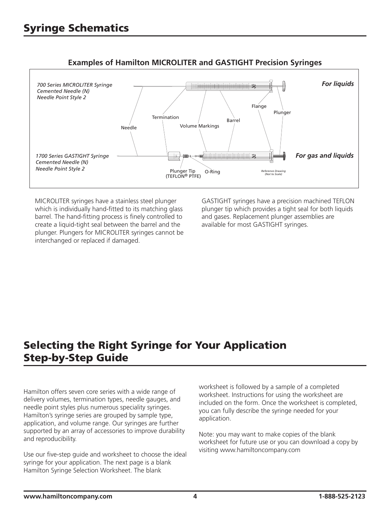

## **Examples of Hamilton MICROLITER and GASTIGHT Precision Syringes**

MICROLITER syringes have a stainless steel plunger which is individually hand-fitted to its matching glass barrel. The hand-fitting process is finely controlled to create a liquid-tight seal between the barrel and the plunger. Plungers for MICROLITER syringes cannot be interchanged or replaced if damaged.

GASTIGHT syringes have a precision machined TEFLON plunger tip which provides a tight seal for both liquids and gases. Replacement plunger assemblies are available for most GASTIGHT syringes.

# Selecting the Right Syringe for Your Application Step-by-Step Guide

Hamilton offers seven core series with a wide range of delivery volumes, termination types, needle gauges, and needle point styles plus numerous speciality syringes. Hamilton's syringe series are grouped by sample type, application, and volume range. Our syringes are further supported by an array of accessories to improve durability and reproducibility.

Use our five-step guide and worksheet to choose the ideal syringe for your application. The next page is a blank Hamilton Syringe Selection Worksheet. The blank

worksheet is followed by a sample of a completed worksheet. Instructions for using the worksheet are included on the form. Once the worksheet is completed, you can fully describe the syringe needed for your application.

Note: you may want to make copies of the blank worksheet for future use or you can download a copy by visiting www.hamiltoncompany.com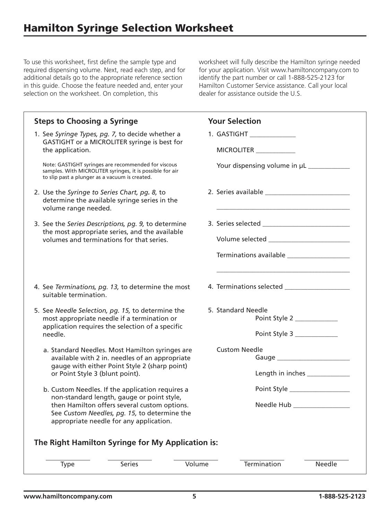To use this worksheet, first define the sample type and required dispensing volume. Next, read each step, and for additional details go to the appropriate reference section in this guide. Choose the feature needed and, enter your selection on the worksheet. On completion, this

worksheet will fully describe the Hamilton syringe needed for your application. Visit www.hamiltoncompany.com to identify the part number or call 1-888-525-2123 for Hamilton Customer Service assistance. Call your local dealer for assistance outside the U.S.

| <b>Steps to Choosing a Syringe</b>                                                                                                                                 | <b>Your Selection</b>                            |  |  |  |  |
|--------------------------------------------------------------------------------------------------------------------------------------------------------------------|--------------------------------------------------|--|--|--|--|
| 1. See Syringe Types, pg. 7, to decide whether a                                                                                                                   | 1. GASTIGHT _______________                      |  |  |  |  |
| GASTIGHT or a MICROLITER syringe is best for<br>the application.                                                                                                   | MICROLITER ____________                          |  |  |  |  |
| Note: GASTIGHT syringes are recommended for viscous<br>samples. With MICROLITER syringes, it is possible for air<br>to slip past a plunger as a vacuum is created. |                                                  |  |  |  |  |
| 2. Use the Syringe to Series Chart, pg. 8, to<br>determine the available syringe series in the<br>volume range needed.                                             |                                                  |  |  |  |  |
| 3. See the Series Descriptions, pg. 9, to determine                                                                                                                |                                                  |  |  |  |  |
| the most appropriate series, and the available<br>volumes and terminations for that series.                                                                        |                                                  |  |  |  |  |
|                                                                                                                                                                    |                                                  |  |  |  |  |
|                                                                                                                                                                    |                                                  |  |  |  |  |
| 4. See Terminations, pg. 13, to determine the most<br>suitable termination.                                                                                        |                                                  |  |  |  |  |
| 5. See Needle Selection, pg. 15, to determine the                                                                                                                  | 5. Standard Needle<br>Point Style 2 ____________ |  |  |  |  |
| most appropriate needle if a termination or<br>application requires the selection of a specific                                                                    |                                                  |  |  |  |  |
| needle.                                                                                                                                                            | Point Style 3                                    |  |  |  |  |
| a. Standard Needles. Most Hamilton syringes are<br>available with 2 in. needles of an appropriate                                                                  | <b>Custom Needle</b>                             |  |  |  |  |
| gauge with either Point Style 2 (sharp point)                                                                                                                      |                                                  |  |  |  |  |
| or Point Style 3 (blunt point).                                                                                                                                    | Length in inches _____________                   |  |  |  |  |
| b. Custom Needles. If the application requires a<br>non-standard length, gauge or point style,                                                                     | Point Style ________________                     |  |  |  |  |
| then Hamilton offers several custom options.<br>See Custom Needles, pg. 15, to determine the                                                                       | Needle Hub _                                     |  |  |  |  |
| appropriate needle for any application.                                                                                                                            |                                                  |  |  |  |  |
| The Right Hamilton Syringe for My Application is:                                                                                                                  |                                                  |  |  |  |  |
| Volume<br>Series<br><b>Type</b>                                                                                                                                    | Termination<br>Needle                            |  |  |  |  |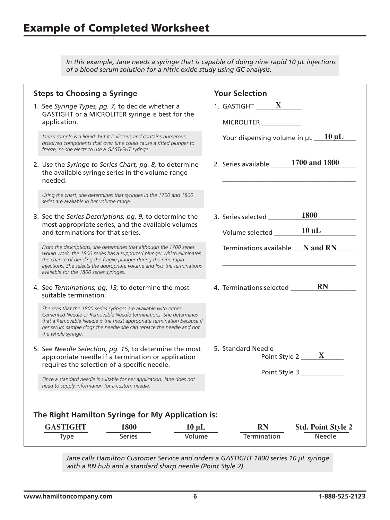*In this example, Jane needs a syringe that is capable of doing nine rapid 10 µL injections of a blood serum solution for a nitric oxide study using GC analysis.*

| <b>Steps to Choosing a Syringe</b><br>1. See Syringe Types, pg. 7, to decide whether a<br>GASTIGHT or a MICROLITER syringe is best for the<br>application.<br>Jane's sample is a liquid, but it is viscous and contains numerous<br>dissolved components that over time could cause a fitted plunger to<br>freeze, so she elects to use a GASTIGHT syringe.<br>2. Use the Syringe to Series Chart, pg. 8, to determine<br>the available syringe series in the volume range<br>needed.<br>Using the chart, she determines that syringes in the 1700 and 1800 |               |            | <b>Your Selection</b><br>1. GASTIGHT $X$<br>MICROLITER _______<br>Your dispensing volume in $\mu L$ 10 $\mu L$<br>2. Series available ______ 1700 and 1800 |
|-------------------------------------------------------------------------------------------------------------------------------------------------------------------------------------------------------------------------------------------------------------------------------------------------------------------------------------------------------------------------------------------------------------------------------------------------------------------------------------------------------------------------------------------------------------|---------------|------------|------------------------------------------------------------------------------------------------------------------------------------------------------------|
| series are available in her volume range.<br>3. See the Series Descriptions, pg. 9, to determine the<br>most appropriate series, and the available volumes<br>and terminations for that series.<br>From the descriptions, she determines that although the 1700 series<br>would work, the 1800 series has a supported plunger which eliminates<br>the chance of bending the fragile plunger during the nine rapid<br>injections. She selects the appropriate volume and lists the terminations<br>available for the 1800 series syringes.                   |               |            | <b>1800</b><br>3. Series selected<br>$10 \mu L$<br>Volume selected _______<br>Terminations available __ N and RN                                           |
| 4. See Terminations, pg. 13, to determine the most<br>suitable termination.<br>She sees that the 1800 series syringes are available with either<br>Cemented Needle or Removable Needle terminations. She determines<br>that a Removable Needle is the most appropriate termination because if<br>her serum sample clogs the needle she can replace the needle and not<br>the whole syringe.                                                                                                                                                                 |               |            | <b>RN</b><br>4. Terminations selected _______                                                                                                              |
| 5. See Needle Selection, pg. 15, to determine the most<br>appropriate needle if a termination or application<br>requires the selection of a specific needle.<br>Since a standard needle is suitable for her application, Jane does not<br>need to supply information for a custom needle.<br>The Right Hamilton Syringe for My Application is:                                                                                                                                                                                                              |               |            | 5. Standard Needle<br>Point Style 2 $\frac{X}{X}$<br>Point Style 3                                                                                         |
| <b>GASTIGHT</b>                                                                                                                                                                                                                                                                                                                                                                                                                                                                                                                                             | 1800          | $10 \mu L$ | <b>RN</b><br><b>Std. Point Style 2</b>                                                                                                                     |
| <b>Type</b>                                                                                                                                                                                                                                                                                                                                                                                                                                                                                                                                                 | <b>Series</b> | Volume     | Termination<br>Needle                                                                                                                                      |

*Jane calls Hamilton Customer Service and orders a GASTIGHT 1800 series 10 µL syringe with a RN hub and a standard sharp needle (Point Style 2).*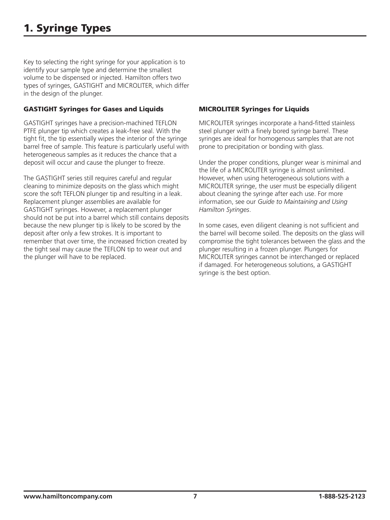Key to selecting the right syringe for your application is to identify your sample type and determine the smallest volume to be dispensed or injected. Hamilton offers two types of syringes, GASTIGHT and MICROLITER, which differ in the design of the plunger.

#### GASTIGHT Syringes for Gases and Liquids

GASTIGHT syringes have a precision-machined TEFLON PTFE plunger tip which creates a leak-free seal. With the tight fit, the tip essentially wipes the interior of the syringe barrel free of sample. This feature is particularly useful with heterogeneous samples as it reduces the chance that a deposit will occur and cause the plunger to freeze.

The GASTIGHT series still requires careful and regular cleaning to minimize deposits on the glass which might score the soft TEFLON plunger tip and resulting in a leak. Replacement plunger assemblies are available for GASTIGHT syringes. However, a replacement plunger should not be put into a barrel which still contains deposits because the new plunger tip is likely to be scored by the deposit after only a few strokes. It is important to remember that over time, the increased friction created by the tight seal may cause the TEFLON tip to wear out and the plunger will have to be replaced.

#### MICROLITER Syringes for Liquids

MICROLITER syringes incorporate a hand-fitted stainless steel plunger with a finely bored syringe barrel. These syringes are ideal for homogenous samples that are not prone to precipitation or bonding with glass.

Under the proper conditions, plunger wear is minimal and the life of a MICROLITER syringe is almost unlimited. However, when using heterogeneous solutions with a MICROLITER syringe, the user must be especially diligent about cleaning the syringe after each use. For more information, see our *Guide to Maintaining and Using Hamilton Syringes*.

In some cases, even diligent cleaning is not sufficient and the barrel will become soiled. The deposits on the glass will compromise the tight tolerances between the glass and the plunger resulting in a frozen plunger. Plungers for MICROLITER syringes cannot be interchanged or replaced if damaged. For heterogeneous solutions, a GASTIGHT syringe is the best option.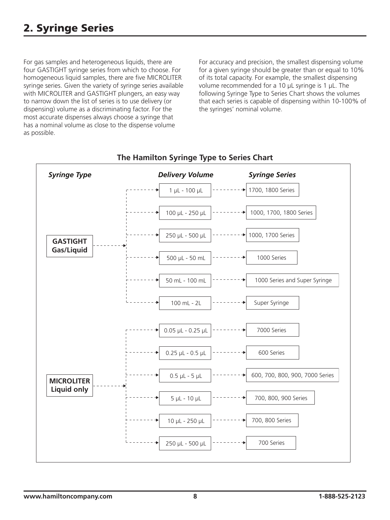For gas samples and heterogeneous liquids, there are four GASTIGHT syringe series from which to choose. For homogeneous liquid samples, there are five MICROLITER syringe series. Given the variety of syringe series available with MICROLITER and GASTIGHT plungers, an easy way to narrow down the list of series is to use delivery (or dispensing) volume as a discriminating factor. For the most accurate dispenses always choose a syringe that has a nominal volume as close to the dispense volume as possible.

For accuracy and precision, the smallest dispensing volume for a given syringe should be greater than or equal to 10% of its total capacity. For example, the smallest dispensing volume recommended for a 10 µL syringe is 1 µL. The following Syringe Type to Series Chart shows the volumes that each series is capable of dispensing within 10-100% of the syringes' nominal volume.



## **The Hamilton Syringe Type to Series Chart**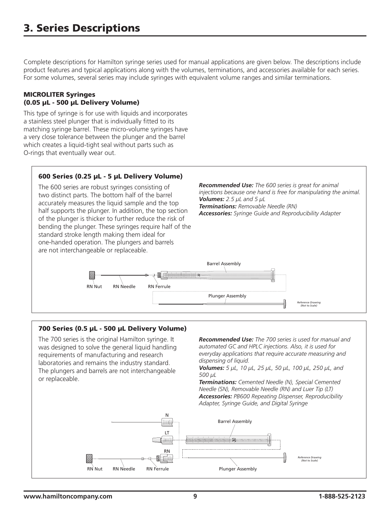Complete descriptions for Hamilton syringe series used for manual applications are given below. The descriptions include product features and typical applications along with the volumes, terminations, and accessories available for each series. For some volumes, several series may include syringes with equivalent volume ranges and similar terminations.

#### MICROLITER Syringes (0.05 µL - 500 µL Delivery Volume)

This type of syringe is for use with liquids and incorporates a stainless steel plunger that is individually fitted to its matching syringe barrel. These micro-volume syringes have a very close tolerance between the plunger and the barrel which creates a liquid-tight seal without parts such as O-rings that eventually wear out.

#### 600 Series (0.25 µL - 5 µL Delivery Volume)

*Recommended Use: The 600 series is great for animal*  The 600 series are robust syringes consisting of *injections because one hand is free for manipulating the animal.* two distinct parts. The bottom half of the barrel *Volumes: 2.5 µL and 5 µL* accurately measures the liquid sample and the top *Terminations: Removable Needle (RN)* half supports the plunger. In addition, the top section *Accessories: Syringe Guide and Reproducibility Adapter* of the plunger is thicker to further reduce the risk of bending the plunger. These syringes require half of the standard stroke length making them ideal for one-handed operation. The plungers and barrels are not interchangeable or replaceable. Barrel Assembly II E RN Nut RN Needle RN Ferrule Plunger Assembly *Reference Drawing (Not to Scale)*

#### 700 Series (0.5 µL - 500 µL Delivery Volume)

The 700 series is the original Hamilton syringe. It was designed to solve the general liquid handling requirements of manufacturing and research laboratories and remains the industry standard. The plungers and barrels are not interchangeable or replaceable.

*Recommended Use: The 700 series is used for manual and automated GC and HPLC injections. Also, it is used for everyday applications that require accurate measuring and dispensing of liquid.*

*Volumes: 5 µL, 10 µL, 25 µL, 50 µL, 100 µL, 250 µL, and 500 µL*

*Terminations: Cemented Needle (N), Special Cemented Needle (SN), Removable Needle (RN) and Luer Tip (LT) Accessories: PB600 Repeating Dispenser, Reproducibility Adapter, Syringe Guide, and Digital Syringe*

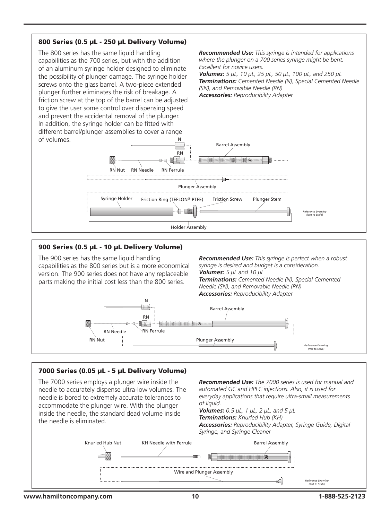#### 800 Series (0.5 µL - 250 µL Delivery Volume)

The 800 series has the same liquid handling capabilities as the 700 series, but with the addition of an aluminum syringe holder designed to eliminate the possibility of plunger damage. The syringe holder screws onto the glass barrel. A two-piece extended plunger further eliminates the risk of breakage. A friction screw at the top of the barrel can be adjusted to give the user some control over dispensing speed and prevent the accidental removal of the plunger. In addition, the syringe holder can be fitted with different barrel/plunger assemblies to cover a range N

*Recommended Use: This syringe is intended for applications where the plunger on a 700 series syringe might be bent. Excellent for novice users.*

*Volumes: 5 µL, 10 µL, 25 µL, 50 µL, 100 µL, and 250 µL Terminations: Cemented Needle (N), Special Cemented Needle (SN), and Removable Needle (RN)*

*Accessories: Reproducibility Adapter*



## 900 Series (0.5 µL - 10 µL Delivery Volume)

The 900 series has the same liquid handling capabilities as the 800 series but is a more economical version. The 900 series does not have any replaceable parts making the initial cost less than the 800 series.

*Recommended Use: This syringe is perfect when a robust syringe is desired and budget is a consideration. Volumes: 5 µL and 10 µL Terminations: Cemented Needle (N), Special Cemented Needle (SN), and Removable Needle (RN) Accessories: Reproducibility Adapter*



#### 7000 Series (0.05 µL - 5 µL Delivery Volume)

The 7000 series employs a plunger wire inside the needle to accurately dispense ultra-low volumes. The needle is bored to extremely accurate tolerances to accommodate the plunger wire. With the plunger inside the needle, the standard dead volume inside the needle is eliminated.

*Recommended Use: The 7000 series is used for manual and automated GC and HPLC injections. Also, it is used for everyday applications that require ultra-small measurements of liquid.*

*Volumes: 0.5 µL, 1 µL, 2 µL, and 5 µL Terminations: Knurled Hub (KH) Accessories: Reproducibility Adapter, Syringe Guide, Digital Syringe, and Syringe Cleaner*

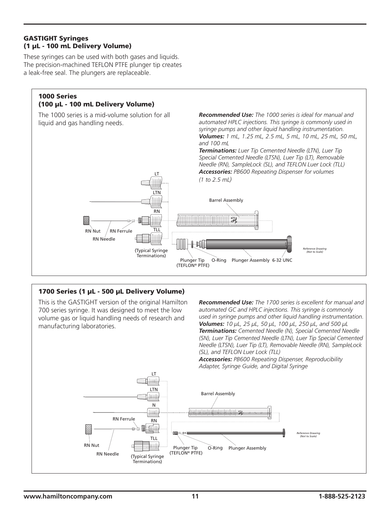#### GASTIGHT Syringes (1 µL - 100 mL Delivery Volume)

These syringes can be used with both gases and liquids. The precision-machined TEFLON PTFE plunger tip creates a leak-free seal. The plungers are replaceable.

#### 1000 Series (100 µL - 100 mL Delivery Volume)

The 1000 series is a mid-volume solution for all liquid and gas handling needs.

*Recommended Use: The 1000 series is ideal for manual and automated HPLC injections. This syringe is commonly used in syringe pumps and other liquid handling instrumentation. Volumes: 1 mL, 1.25 mL, 2.5 mL, 5 mL, 10 mL, 25 mL, 50 mL, and 100 mL*

*Terminations: Luer Tip Cemented Needle (LTN), Luer Tip Special Cemented Needle (LTSN), Luer Tip (LT), Removable Needle (RN), SampleLock (SL), and TEFLON Luer Lock (TLL) Accessories: PB600 Repeating Dispenser for volumes (1 to 2.5 mL)*



LT

## 1700 Series (1 µL - 500 µL Delivery Volume)

This is the GASTIGHT version of the original Hamilton 700 series syringe. It was designed to meet the low volume gas or liquid handling needs of research and manufacturing laboratories.

*Recommended Use: The 1700 series is excellent for manual and automated GC and HPLC injections. This syringe is commonly used in syringe pumps and other liquid handling instrumentation. Volumes: 10 µL, 25 µL, 50 µL, 100 µL, 250 µL, and 500 µL Terminations: Cemented Needle (N), Special Cemented Needle (SN), Luer Tip Cemented Needle (LTN), Luer Tip Special Cemented Needle (LTSN), Luer Tip (LT), Removable Needle (RN), SampleLock (SL), and TEFLON Luer Lock (TLL)*

*Accessories: PB600 Repeating Dispenser, Reproducibility Adapter, Syringe Guide, and Digital Syringe*

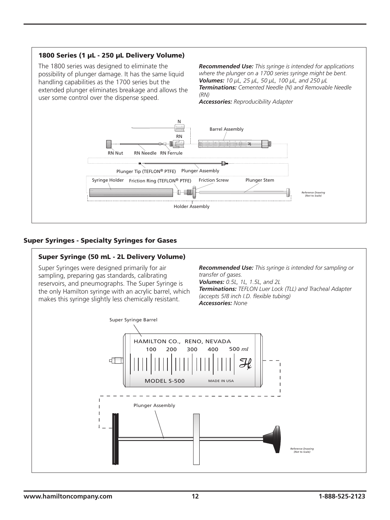

#### Super Syringes - Specialty Syringes for Gases

#### Super Syringe (50 mL - 2L Delivery Volume)

Super Syringes were designed primarily for air sampling, preparing gas standards, calibrating reservoirs, and pneumographs. The Super Syringe is the only Hamilton syringe with an acrylic barrel, which makes this syringe slightly less chemically resistant.

*Recommended Use: This syringe is intended for sampling or transfer of gases. Volumes: 0.5L, 1L, 1.5L, and 2L Terminations: TEFLON Luer Lock (TLL) and Tracheal Adapter (accepts 5/8 inch I.D. flexible tubing) Accessories: None*

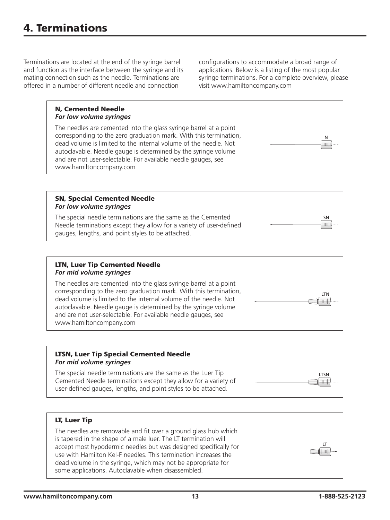Terminations are located at the end of the syringe barrel and function as the interface between the syringe and its mating connection such as the needle. Terminations are offered in a number of different needle and connection

configurations to accommodate a broad range of applications. Below is a listing of the most popular syringe terminations. For a complete overview, please visit www.hamiltoncompany.com

#### N, Cemented Needle *For low volume syringes*

The needles are cemented into the glass syringe barrel at a point corresponding to the zero graduation mark. With this termination, dead volume is limited to the internal volume of the needle. Not autoclavable. Needle gauge is determined by the syringe volume and are not user-selectable. For available needle gauges, see www.hamiltoncompany.com

#### SN, Special Cemented Needle *For low volume syringes*

The special needle terminations are the same as the Cemented Needle terminations except they allow for a variety of user-defined gauges, lengths, and point styles to be attached.

#### LTN, Luer Tip Cemented Needle *For mid volume syringes*

The needles are cemented into the glass syringe barrel at a point corresponding to the zero graduation mark. With this termination, dead volume is limited to the internal volume of the needle. Not autoclavable. Needle gauge is determined by the syringe volume and are not user-selectable. For available needle gauges, see www.hamiltoncompany.com

#### LTSN, Luer Tip Special Cemented Needle *For mid volume syringes*

The special needle terminations are the same as the Luer Tip Cemented Needle terminations except they allow for a variety of user-defined gauges, lengths, and point styles to be attached.

#### LT, Luer Tip

The needles are removable and fit over a ground glass hub which is tapered in the shape of a male luer. The LT termination will accept most hypodermic needles but was designed specifically for use with Hamilton Kel-F needles. This termination increases the dead volume in the syringe, which may not be appropriate for some applications. Autoclavable when disassembled.



**SN** 

 $\parallel$ ilii $\parallel$ 

LTSN

**Inuli** 

LT

⊯ווו∏

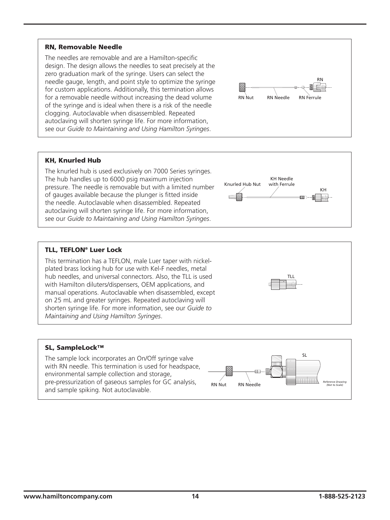#### RN, Removable Needle

The needles are removable and are a Hamilton-specific design. The design allows the needles to seat precisely at the zero graduation mark of the syringe. Users can select the needle gauge, length, and point style to optimize the syringe for custom applications. Additionally, this termination allows for a removable needle without increasing the dead volume of the syringe and is ideal when there is a risk of the needle clogging. Autoclavable when disassembled. Repeated autoclaving will shorten syringe life. For more information, see our *Guide to Maintaining and Using Hamilton Syringes*.



#### KH, Knurled Hub

The knurled hub is used exclusively on 7000 Series syringes. The hub handles up to 6000 psig maximum injection pressure. The needle is removable but with a limited number of gauges available because the plunger is fitted inside the needle. Autoclavable when disassembled. Repeated autoclaving will shorten syringe life. For more information, see our *Guide to Maintaining and Using Hamilton Syringes*.



#### TLL, TEFLON® Luer Lock

This termination has a TEFLON, male Luer taper with nickelplated brass locking hub for use with Kel-F needles, metal hub needles, and universal connectors. Also, the TLL is used with Hamilton diluters/dispensers, OEM applications, and manual operations. Autoclavable when disassembled, except on 25 mL and greater syringes. Repeated autoclaving will shorten syringe life. For more information, see our *Guide to Maintaining and Using Hamilton Syringes*.



#### SL, SampleLock™

The sample lock incorporates an On/Off syringe valve with RN needle. This termination is used for headspace, environmental sample collection and storage, pre-pressurization of gaseous samples for GC analysis, and sample spiking. Not autoclavable.

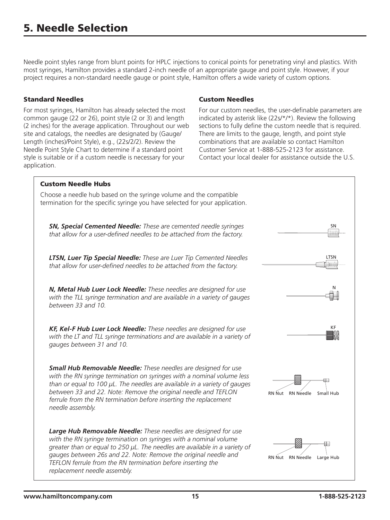Needle point styles range from blunt points for HPLC injections to conical points for penetrating vinyl and plastics. With most syringes, Hamilton provides a standard 2-inch needle of an appropriate gauge and point style. However, if your project requires a non-standard needle gauge or point style, Hamilton offers a wide variety of custom options.

#### Standard Needles

For most syringes, Hamilton has already selected the most common gauge (22 or 26), point style (2 or 3) and length (2 inches) for the average application. Throughout our web site and catalogs, the needles are designated by (Gauge/ Length (inches)/Point Style), e.g., (22s/2/2). Review the Needle Point Style Chart to determine if a standard point style is suitable or if a custom needle is necessary for your application.

#### Custom Needles

For our custom needles, the user-definable parameters are indicated by asterisk like (22s/\*/\*). Review the following sections to fully define the custom needle that is required. There are limits to the gauge, length, and point style combinations that are available so contact Hamilton Customer Service at 1-888-525-2123 for assistance. Contact your local dealer for assistance outside the U.S.

#### Custom Needle Hubs

Choose a needle hub based on the syringe volume and the compatible termination for the specific syringe you have selected for your application.

*SN, Special Cemented Needle: These are cemented needle syringes that allow for a user-defined needles to be attached from the factory.*

*LTSN, Luer Tip Special Needle: These are Luer Tip Cemented Needles that allow for user-defined needles to be attached from the factory.*

*N, Metal Hub Luer Lock Needle: These needles are designed for use with the TLL syringe termination and are available in a variety of gauges between 33 and 10.*

*KF, Kel-F Hub Luer Lock Needle: These needles are designed for use with the LT and TLL syringe terminations and are available in a variety of gauges between 31 and 10.*

*Small Hub Removable Needle: These needles are designed for use with the RN syringe termination on syringes with a nominal volume less than or equal to 100 µL. The needles are available in a variety of gauges between 33 and 22. Note: Remove the original needle and TEFLON ferrule from the RN termination before inserting the replacement needle assembly.*

*Large Hub Removable Needle: These needles are designed for use with the RN syringe termination on syringes with a nominal volume greater than or equal to 250 µL. The needles are available in a variety of gauges between 26s and 22. Note: Remove the original needle and TEFLON ferrule from the RN termination before inserting the replacement needle assembly.*



SN

liittli.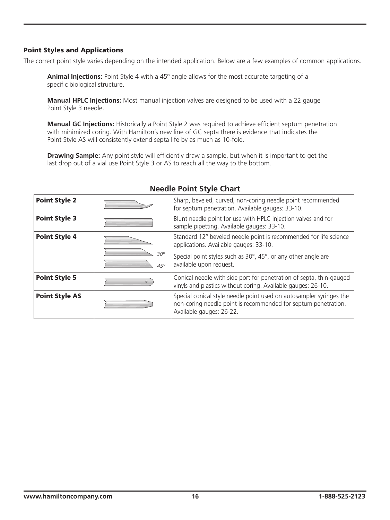#### Point Styles and Applications

The correct point style varies depending on the intended application. Below are a few examples of common applications.

**Animal Injections:** Point Style 4 with a 45º angle allows for the most accurate targeting of a specific biological structure.

**Manual HPLC Injections:** Most manual injection valves are designed to be used with a 22 gauge Point Style 3 needle.

**Manual GC Injections:** Historically a Point Style 2 was required to achieve efficient septum penetration with minimized coring. With Hamilton's new line of GC septa there is evidence that indicates the Point Style AS will consistently extend septa life by as much as 10-fold.

**Drawing Sample:** Any point style will efficiently draw a sample, but when it is important to get the last drop out of a vial use Point Style 3 or AS to reach all the way to the bottom.

| <b>Point Style 2</b>  |                          | Sharp, beveled, curved, non-coring needle point recommended<br>for septum penetration. Available gauges: 33-10.                                                   |
|-----------------------|--------------------------|-------------------------------------------------------------------------------------------------------------------------------------------------------------------|
| <b>Point Style 3</b>  |                          | Blunt needle point for use with HPLC injection valves and for<br>sample pipetting. Available gauges: 33-10.                                                       |
| <b>Point Style 4</b>  |                          | Standard 12° beveled needle point is recommended for life science<br>applications. Available gauges: 33-10.                                                       |
|                       | $30^\circ$<br>$45^\circ$ | Special point styles such as 30°, 45°, or any other angle are<br>available upon request.                                                                          |
| <b>Point Style 5</b>  | $\circ$                  | Conical needle with side port for penetration of septa, thin-gauged<br>vinyls and plastics without coring. Available gauges: 26-10.                               |
| <b>Point Style AS</b> |                          | Special conical style needle point used on autosampler syringes the<br>non-coring needle point is recommended for septum penetration.<br>Available gauges: 26-22. |

#### **Needle Point Style Chart**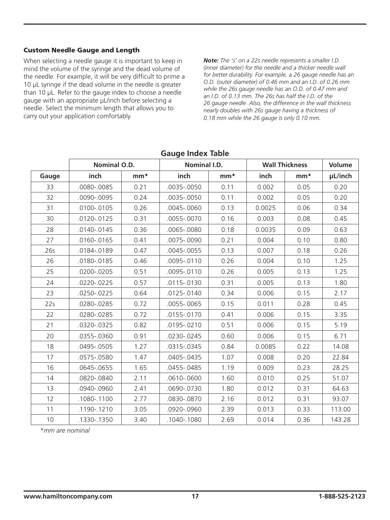#### Custom Needle Gauge and Length

When selecting a needle gauge it is important to keep in mind the volume of the syringe and the dead volume of the needle. For example, it will be very difficult to prime a 10 µL syringe if the dead volume in the needle is greater than 10 µL. Refer to the gauge index to choose a needle gauge with an appropriate µL/inch before selecting a needle. Select the minimum length that allows you to carry out your application comfortably.

*Note: The 's' on a 22s needle represents a smaller I.D. (inner diameter) for the needle and a thicker needle wall for better durability. For example, a 26 gauge needle has an O.D. (outer diameter) of 0.46 mm and an I.D. of 0.26 mm while the 26s gauge needle has an O.D. of 0.47 mm and an I.D. of 0.13 mm. The 26s has half the I.D. of the 26 gauge needle. Also, the difference in the wall thickness nearly doubles with 26s gauge having a thickness of 0.18 mm while the 26 gauge is only 0.10 mm.*

|       | <b>Nominal O.D.</b> |       | Nominal I.D.  |       | <b>Wall Thickness</b> |       | <b>Volume</b> |
|-------|---------------------|-------|---------------|-------|-----------------------|-------|---------------|
| Gauge | inch                | $mm*$ | inch          | $mm*$ | inch                  | $mm*$ | µL/inch       |
| 33    | .0080-.0085         | 0.21  | .0035-.0050   | 0.11  | 0.002                 | 0.05  | 0.20          |
| 32    | .0090-.0095         | 0.24  | 0035-.0050    | 0.11  | 0.002                 | 0.05  | 0.20          |
| 31    | .0100-.0105         | 0.26  | .0045-.0060   | 0.13  | 0.0025                | 0.06  | 0.34          |
| 30    | .0120-.0125         | 0.31  | 0055-.0070    | 0.16  | 0.003                 | 0.08  | 0.45          |
| 28    | .0140-.0145         | 0.36  | .0065-.0080   | 0.18  | 0.0035                | 0.09  | 0.63          |
| 27    | .0160-.0165         | 0.41  | 0075-.0090    | 0.21  | 0.004                 | 0.10  | 0.80          |
| 26s   | .0184-.0189         | 0.47  | .0045-.0055   | 0.13  | 0.007                 | 0.18  | 0.26          |
| 26    | .0180-.0185         | 0.46  | 0095-.0110    | 0.26  | 0.004                 | 0.10  | 1.25          |
| 25    | .0200-.0205         | 0.51  | .0095-.0110   | 0.26  | 0.005                 | 0.13  | 1.25          |
| 24    | .0220-.0225         | 0.57  | .0115-.0130   | 0.31  | 0.005                 | 0.13  | 1.80          |
| 23    | .0250-.0225         | 0.64  | .0125-.0140   | 0.34  | 0.006                 | 0.15  | 2.17          |
| 22s   | .0280-.0285         | 0.72  | .0055-.0065   | 0.15  | 0.011                 | 0.28  | 0.45          |
| 22    | .0280-.0285         | 0.72  | .0155-.0170   | 0.41  | 0.006                 | 0.15  | 3.35          |
| 21    | .0320-.0325         | 0.82  | .0195-.0210   | 0.51  | 0.006                 | 0.15  | 5.19          |
| 20    | .0355-.0360         | 0.91  | .0230-.0245   | 0.60  | 0.006                 | 0.15  | 6.71          |
| 18    | .0495-.0505         | 1.27  | .0315 - .0345 | 0.84  | 0.0085                | 0.22  | 14.08         |
| 17    | .0575-.0580         | 1.47  | .0405-.0435   | 1.07  | 0.008                 | 0.20  | 22.84         |
| 16    | .0645-.0655         | 1.65  | 0455-.0485    | 1.19  | 0.009                 | 0.23  | 28.25         |
| 14    | .0820-.0840         | 2.11  | .0610-.0600   | 1.60  | 0.010                 | 0.25  | 51.07         |
| 13    | .0940-.0960         | 2.41  | 0690-.0730    | 1.80  | 0.012                 | 0.31  | 64.63         |
| 12    | .1080-.1100         | 2.77  | 0830-.0870    | 2.16  | 0.012                 | 0.31  | 93.07         |
| 11    | .1190-.1210         | 3.05  | .0920-.0960   | 2.39  | 0.013                 | 0.33  | 113.00        |
| 10    | .1330-.1350         | 3.40  | .1040-.1080   | 2.69  | 0.014                 | 0.36  | 143.28        |

#### **Gauge Index Table**

*\*mm are nominal*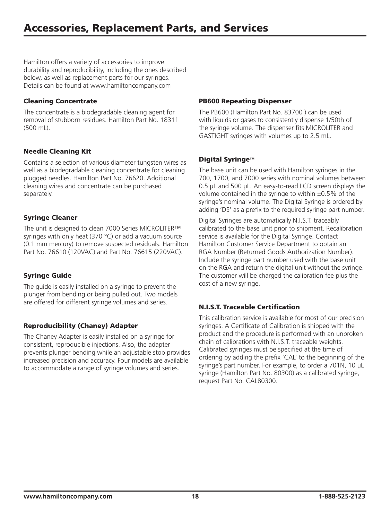Hamilton offers a variety of accessories to improve durability and reproducibility, including the ones described below, as well as replacement parts for our syringes. Details can be found at www.hamiltoncompany.com

#### Cleaning Concentrate

The concentrate is a biodegradable cleaning agent for removal of stubborn residues. Hamilton Part No. 18311 (500 mL).

#### Needle Cleaning Kit

Contains a selection of various diameter tungsten wires as well as a biodegradable cleaning concentrate for cleaning plugged needles. Hamilton Part No. 76620. Additional cleaning wires and concentrate can be purchased separately.

#### Syringe Cleaner

The unit is designed to clean 7000 Series MICROLITER™ syringes with only heat (370 °C) or add a vacuum source (0.1 mm mercury) to remove suspected residuals. Hamilton Part No. 76610 (120VAC) and Part No. 76615 (220VAC).

## Syringe Guide

The guide is easily installed on a syringe to prevent the plunger from bending or being pulled out. Two models are offered for different syringe volumes and series.

## Reproducibility (Chaney) Adapter

The Chaney Adapter is easily installed on a syringe for consistent, reproducible injections. Also, the adapter prevents plunger bending while an adjustable stop provides increased precision and accuracy. Four models are available to accommodate a range of syringe volumes and series.

#### PB600 Repeating Dispenser

The PB600 (Hamilton Part No. 83700 ) can be used with liquids or gases to consistently dispense 1/50th of the syringe volume. The dispenser fits MICROLITER and GASTIGHT syringes with volumes up to 2.5 mL.

#### Digital Syringe™

The base unit can be used with Hamilton syringes in the 700, 1700, and 7000 series with nominal volumes between 0.5 µL and 500 µL. An easy-to-read LCD screen displays the volume contained in the syringe to within  $\pm 0.5\%$  of the syringe's nominal volume. The Digital Syringe is ordered by adding 'DS' as a prefix to the required syringe part number.

Digital Syringes are automatically N.I.S.T. traceably calibrated to the base unit prior to shipment. Recalibration service is available for the Digital Syringe. Contact Hamilton Customer Service Department to obtain an RGA Number (Returned Goods Authorization Number). Include the syringe part number used with the base unit on the RGA and return the digital unit without the syringe. The customer will be charged the calibration fee plus the cost of a new syringe.

## N.I.S.T. Traceable Certification

This calibration service is available for most of our precision syringes. A Certificate of Calibration is shipped with the product and the procedure is performed with an unbroken chain of calibrations with N.I.S.T. traceable weights. Calibrated syringes must be specified at the time of ordering by adding the prefix 'CAL' to the beginning of the syringe's part number. For example, to order a 701N, 10 µL syringe (Hamilton Part No. 80300) as a calibrated syringe, request Part No. CAL80300.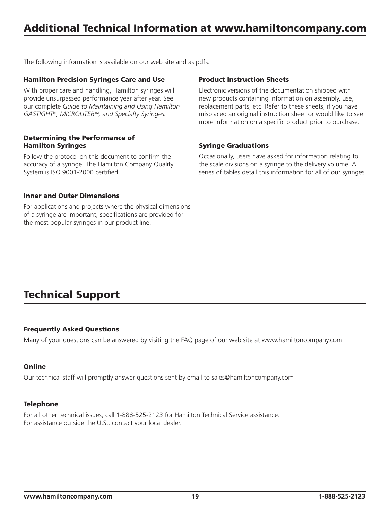The following information is available on our web site and as pdfs.

#### Hamilton Precision Syringes Care and Use

With proper care and handling, Hamilton syringes will provide unsurpassed performance year after year. See our complete *Guide to Maintaining and Using Hamilton GASTIGHT®, MICROLITER™, and Specialty Syringes.*

#### Determining the Performance of Hamilton Syringes

Follow the protocol on this document to confirm the accuracy of a syringe. The Hamilton Company Quality System is ISO 9001-2000 certified.

#### Inner and Outer Dimensions

For applications and projects where the physical dimensions of a syringe are important, specifications are provided for the most popular syringes in our product line.

#### Product Instruction Sheets

Electronic versions of the documentation shipped with new products containing information on assembly, use, replacement parts, etc. Refer to these sheets, if you have misplaced an original instruction sheet or would like to see more information on a specific product prior to purchase.

#### Syringe Graduations

Occasionally, users have asked for information relating to the scale divisions on a syringe to the delivery volume. A series of tables detail this information for all of our syringes.

# Technical Support

#### Frequently Asked Questions

Many of your questions can be answered by visiting the FAQ page of our web site at www.hamiltoncompany.com

#### **Online**

Our technical staff will promptly answer questions sent by email to sales@hamiltoncompany.com

#### **Telephone**

For all other technical issues, call 1-888-525-2123 for Hamilton Technical Service assistance. For assistance outside the U.S., contact your local dealer.